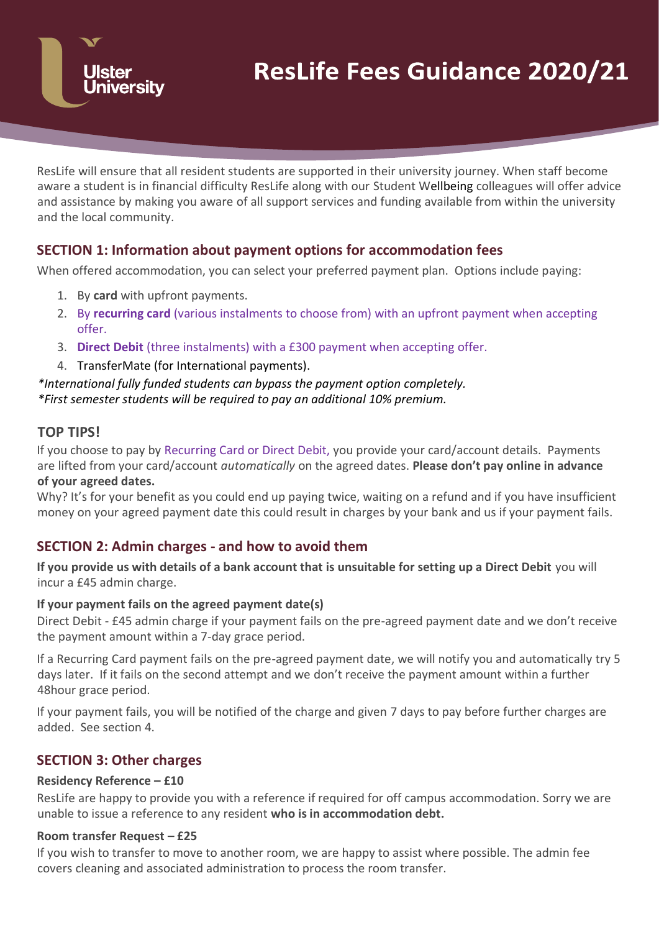

ResLife will ensure that all resident students are supported in their university journey. When staff become aware a student is in financial difficulty ResLife along with our Student Wellbeing colleagues will offer advice and assistance by making you aware of all support services and funding available from within the university and the local community.

# **SECTION 1: Information about payment options for accommodation fees**

When offered accommodation, you can select your preferred payment plan. Options include paying:

- 1. By **card** with upfront payments.
- 2. By **recurring card** (various instalments to choose from) with an upfront payment when accepting offer.
- 3. **Direct Debit** (three instalments) with a £300 payment when accepting offer.
- 4. TransferMate (for International payments).

### *\*International fully funded students can bypass the payment option completely. \*First semester students will be required to pay an additional 10% premium.*

## **TOP TIPS!**

If you choose to pay by Recurring Card or Direct Debit, you provide your card/account details. Payments are lifted from your card/account *automatically* on the agreed dates. **Please don't pay online in advance of your agreed dates.**

Why? It's for your benefit as you could end up paying twice, waiting on a refund and if you have insufficient money on your agreed payment date this could result in charges by your bank and us if your payment fails.

# **SECTION 2: Admin charges - and how to avoid them**

**If you provide us with details of a bank account that is unsuitable for setting up a Direct Debit** you will incur a £45 admin charge.

### **If your payment fails on the agreed payment date(s)**

Direct Debit - £45 admin charge if your payment fails on the pre-agreed payment date and we don't receive the payment amount within a 7-day grace period.

If a Recurring Card payment fails on the pre-agreed payment date, we will notify you and automatically try 5 days later. If it fails on the second attempt and we don't receive the payment amount within a further 48hour grace period.

If your payment fails, you will be notified of the charge and given 7 days to pay before further charges are added. See section 4.

# **SECTION 3: Other charges**

### **Residency Reference – £10**

ResLife are happy to provide you with a reference if required for off campus accommodation. Sorry we are unable to issue a reference to any resident **who is in accommodation debt.**

### **Room transfer Request – £25**

If you wish to transfer to move to another room, we are happy to assist where possible. The admin fee covers cleaning and associated administration to process the room transfer.